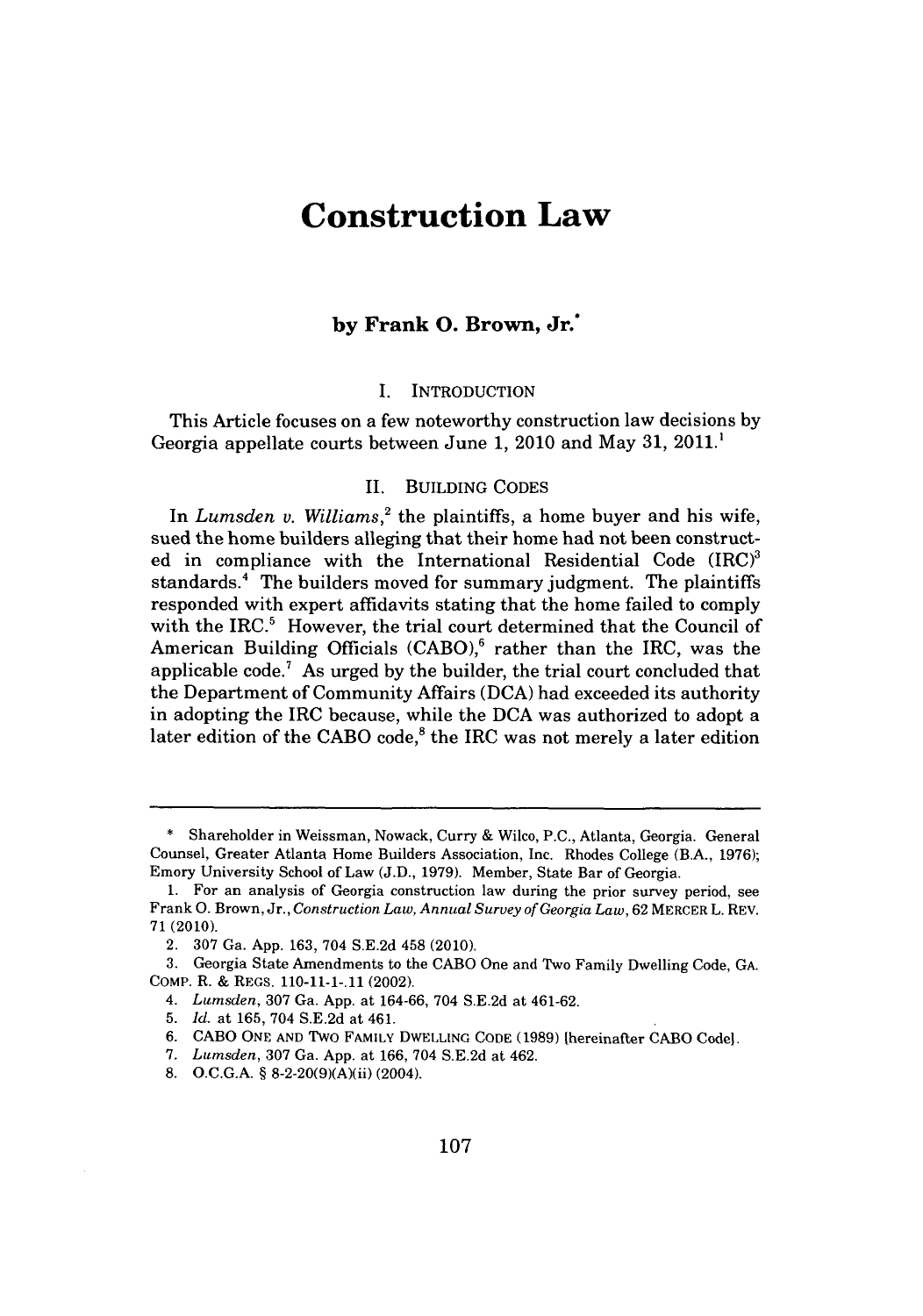# **Construction Law**

## **by Frank 0. Brown, Jr.\***

#### I. INTRODUCTION

This Article focuses on a few noteworthy construction law decisions **by** Georgia appellate courts between June **1,** 2010 and May **31,** 2011.'

## **II.** BUILDING **CODES**

In *Lumsden v. Williams*,<sup>2</sup> the plaintiffs, a home buyer and his wife, sued the home builders alleging that their home had not been constructed in compliance with the International Residential Code  $(IRC)^3$ standards.' The builders moved for summary judgment. The plaintiffs responded with expert affidavits stating that the home failed to comply with the IRC.<sup>5</sup> However, the trial court determined that the Council of American Building Officials (CABO),<sup>6</sup> rather than the IRC, was the applicable code.' As urged **by** the builder, the trial court concluded that the Department of Community Affairs **(DCA)** had exceeded its authority in adopting the IRC because, while the **DCA** was authorized to adopt a later edition of the CABO code,<sup>8</sup> the IRC was not merely a later edition

**<sup>\*</sup>** Shareholder in Weissman, Nowack, Curry **&** Wilco, **P.C.,** Atlanta, Georgia. General Counsel, Greater Atlanta Home Builders Association, Inc. Rhodes College (B.A., **1976);** Emory University School of Law **(J.D., 1979).** Member, State Bar of Georgia.

**<sup>1.</sup>** For an analysis of Georgia construction law during the prior survey period, see Frank **0.** Brown, Jr., *Construction Law, Annual Survey of Georgia Law,* **62** MERCER L. REV. **71 (2010).**

<sup>2.</sup> **307** Ga. **App. 163,** 704 **S.E.2d** 458 (2010).

**<sup>3.</sup>** Georgia State Amendments to the **CABO** One and Two Family Dwelling Code, **GA.** COMP. R. **&** REGS. **110-11-1-.11** (2002).

<sup>4.</sup> *Lumsden,* **307** Ga. **App.** at **164-66,** 704 **S.E.2d** at 461-62.

**<sup>5.</sup>** *Id.* at **165,** 704 **S.E.2d** at 461.

**<sup>6.</sup> CABO ONE AND** Two FAMILY DWELLING **CODE (1989)** thereinafter **CABO** Code].

**<sup>7.</sup>** *Lumsden,* **307** Ga. **App.** at **166,** 704 **S.E.2d** at 462.

**<sup>8.</sup> O.C.G.A. §** 8-2-20(9)(A)(ii) (2004).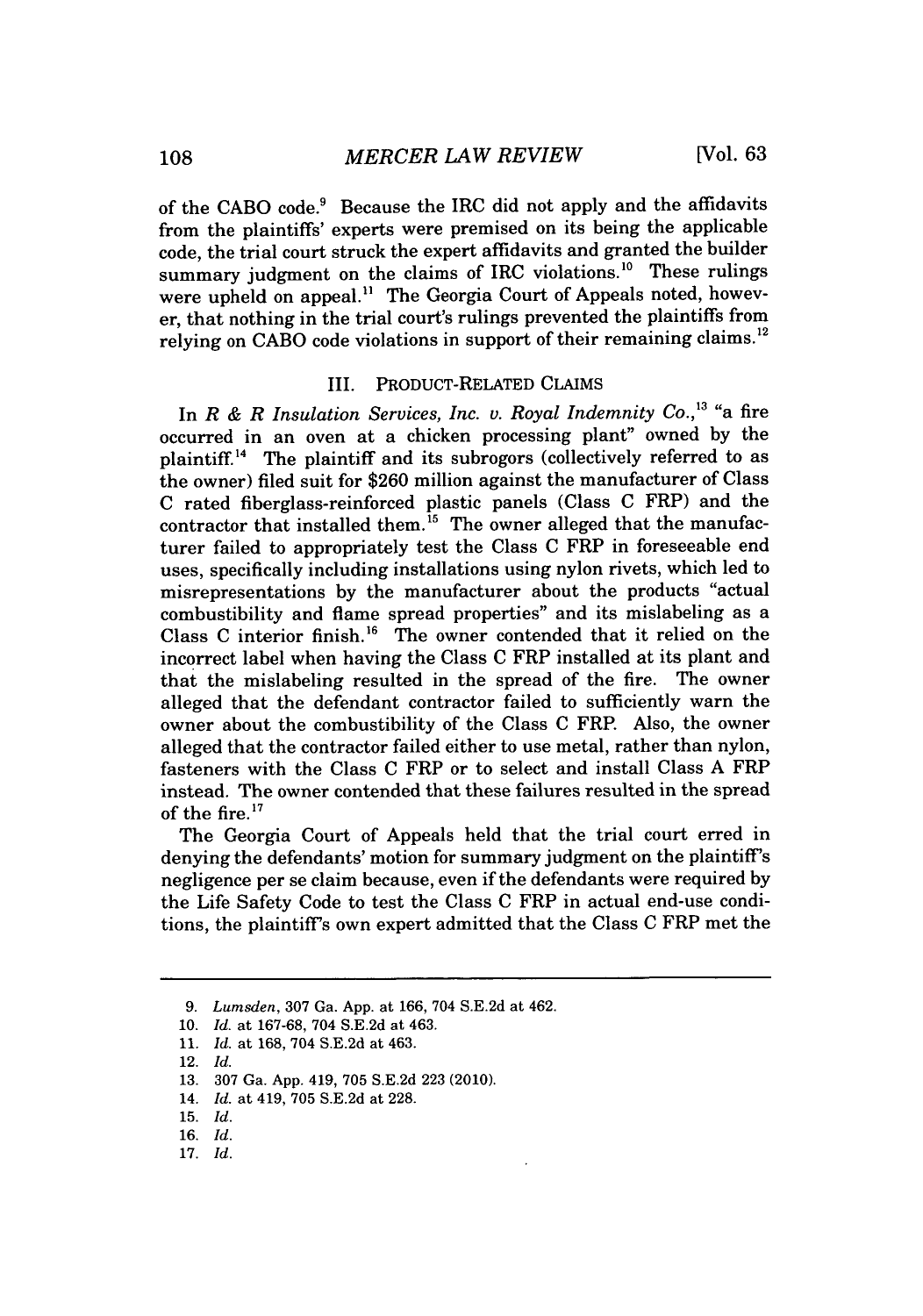of the **CABO** code.' Because the IRC did not apply and the affidavits from the plaintiffs' experts were premised on its being the applicable code, the trial court struck the expert affidavits and granted the builder summary judgment on the claims of IRC violations.<sup>10</sup> These rulings were upheld on appeal.<sup>11</sup> The Georgia Court of Appeals noted, however, that nothing in the trial court's rulings prevented the plaintiffs from relying on CABO code violations in support of their remaining claims.<sup>12</sup>

#### III. PRODUCT-RELATED **CLAIMS**

In *R & R Insulation Services, Inc. v. Royal Indemnity Co.,"* "a fire occurred in an oven at a chicken processing plant" owned **by** the plaintiff." The plaintiff and its subrogors (collectively referred to as the owner) filed suit for **\$260** million against the manufacturer of Class **C** rated fiberglass-reinforced plastic panels (Class **C** FRP) and the contractor that installed them.<sup>15</sup> The owner alleged that the manufacturer failed to appropriately test the Class **C** FRP in foreseeable end uses, specifically including installations using nylon rivets, which led to misrepresentations **by** the manufacturer about the products "actual combustibility and flame spread properties" and its mislabeling as a Class **C** interior finish." The owner contended that it relied on the incorrect label when having the Class **C** FRP installed at its plant and that the mislabeling resulted in the spread of the fire. The owner alleged that the defendant contractor failed to sufficiently warn the owner about the combustibility of the Class **C** FRP. Also, the owner alleged that the contractor failed either to use metal, rather than nylon, fasteners with the Class **C** FRP or to select and install Class **A** FRP instead. The owner contended that these failures resulted in the spread of the fire."

The Georgia Court of Appeals held that the trial court erred in denying the defendants' motion for summary judgment on the plaintiff's negligence per se claim because, even if the defendants were required **by** the Life Safety Code to test the Class **C** FRP in actual end-use conditions, the plaintiff's own expert admitted that the Class **C** FRP met the

**17.** *Id.*

*<sup>9.</sup> Lumsden,* **307** Ga. **App.** at **166,** 704 **S.E.2d** at 462.

**<sup>10.</sup>** *Id. at* **167-68,** 704 **S.E.2d** at 463.

**<sup>11.</sup>** *Id. at* **168,** 704 **S.E.2d** at 463.

<sup>12.</sup> *Id.*

**<sup>13. 307</sup>** Ga. **App.** 419, **705 S.E.2d 223** (2010).

<sup>14.</sup> *Id.* at 419, **705 S.E.2d** at **228.**

**<sup>15.</sup>** *Id.*

**<sup>16.</sup>** *Id.*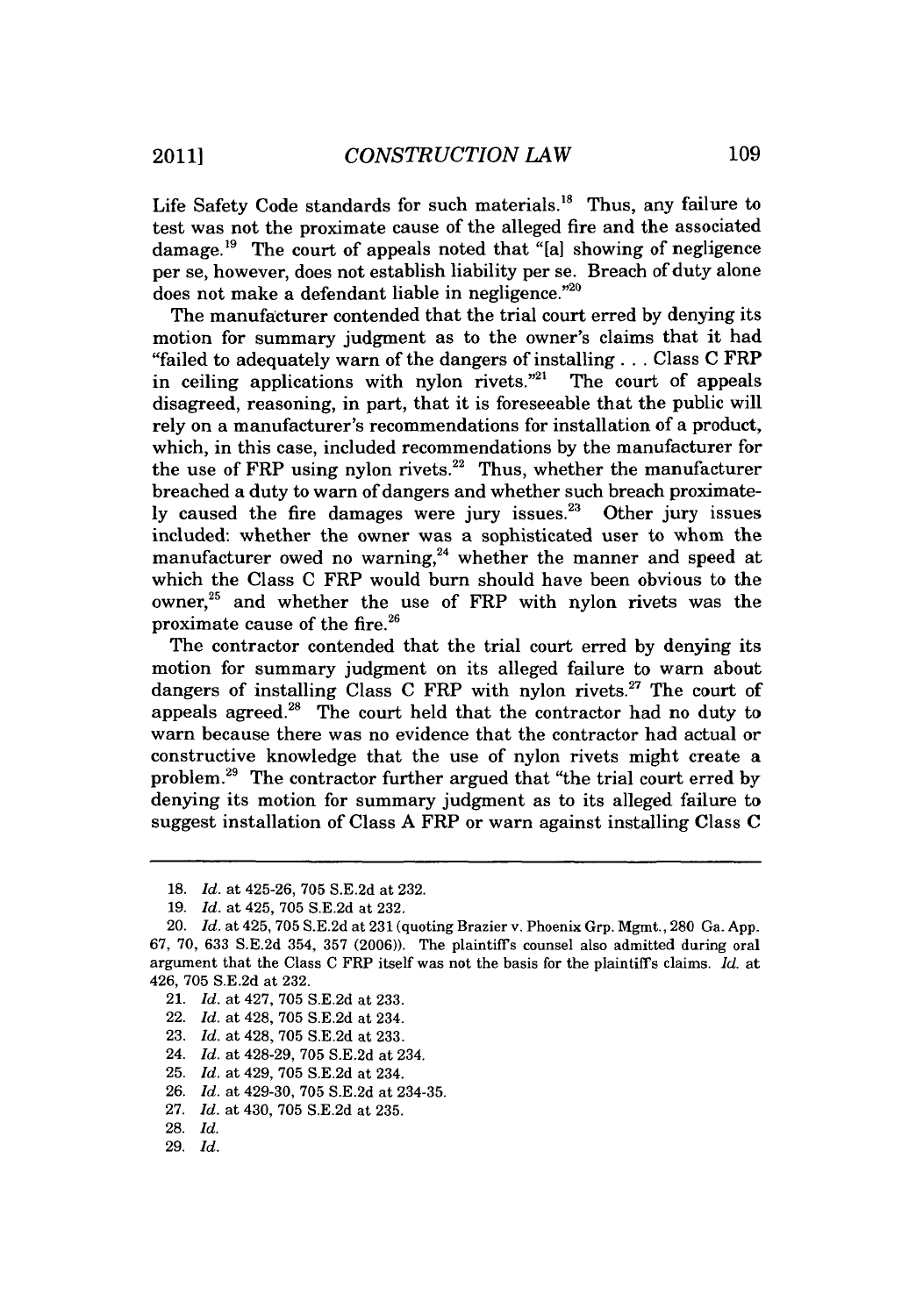Life Safety Code standards for such materials.<sup>18</sup> Thus, any failure to test was not the proximate cause of the alleged fire and the associated damage.<sup>19</sup> The court of appeals noted that "[a] showing of negligence per se, however, does not establish liability per se. Breach of duty alone does not make a defendant liable in negligence."

The manufacturer contended that the trial court erred **by** denying its motion for summary judgment as to the owner's claims that it had "failed to adequately warn of the dangers of installing **. ..** Class **C** FRP in ceiling applications with nylon rivets."<sup>21</sup> The court of appeals disagreed, reasoning, in part, that it is foreseeable that the public will rely on a manufacturer's recommendations for installation of a product, which, in this case, included recommendations **by** the manufacturer for the use of FRP using nylon rivets.<sup>22</sup> Thus, whether the manufacturer breached a duty to warn of dangers and whether such breach proximately caused the fire damages were jury issues.<sup>23</sup> Other jury issues included: whether the owner was a sophisticated user to whom the manufacturer owed no warning,<sup>24</sup> whether the manner and speed at which the Class **C** FRP would burn should have been obvious to the owner, $25$  and whether the use of FRP with nylon rivets was the proximate cause of the fire.<sup>26</sup>

The contractor contended that the trial court erred **by** denying its motion for summary judgment on its alleged failure to warn about dangers of installing Class **C** FRP with nylon rivets." The court of appeals agreed. $28$  The court held that the contractor had no duty to warn because there was no evidence that the contractor had actual or constructive knowledge that the use of nylon rivets might create a problem.29 The contractor further argued that "the trial court erred **by** denying its motion for summary judgment as to its alleged failure to suggest installation of Class **A** FRP or warn against installing Class **C**

- 21. *Id.* at 427, **705 S.E.2d** at **233.**
- 22. *Id.* at 428, **705 S.E.2d** at 234.
- **23.** *Id.* at 428, **705 S.E.2d** at **233.**
- 24. *Id.* at 428-29, **705 S.E.2d** at 234.
- **25.** *Id.* at 429, **705 S.E.2d** at 234.
- **26.** *Id.* at 429-30, **705 S.E.2d** at 234-35.

- **28.** *Id.*
- **29.** *Id.*

**<sup>18.</sup>** *Id.* at 425-26, **705 S.E.2d** at **232.**

**<sup>19.</sup>** *Id.* at 425, **705 S.E.2d** at **232.**

<sup>20.</sup> *Id.* at 425, **705 S.E.2d** at **231** (quoting Brazier v. Phoenix Grp. Mgmt., **280** Ga. **App. 67. 70, 633 S.E.2d** 354, **357 (2006)).** The plaintiffs counsel also admitted during oral argument that the Class **C** FRP itself was not the basis for the plaintiffs claims. *Id.* at 426, **705 S.E.2d** at **232.**

**<sup>27.</sup>** *Id.* at 430, **705 S.E.2d** at **235.**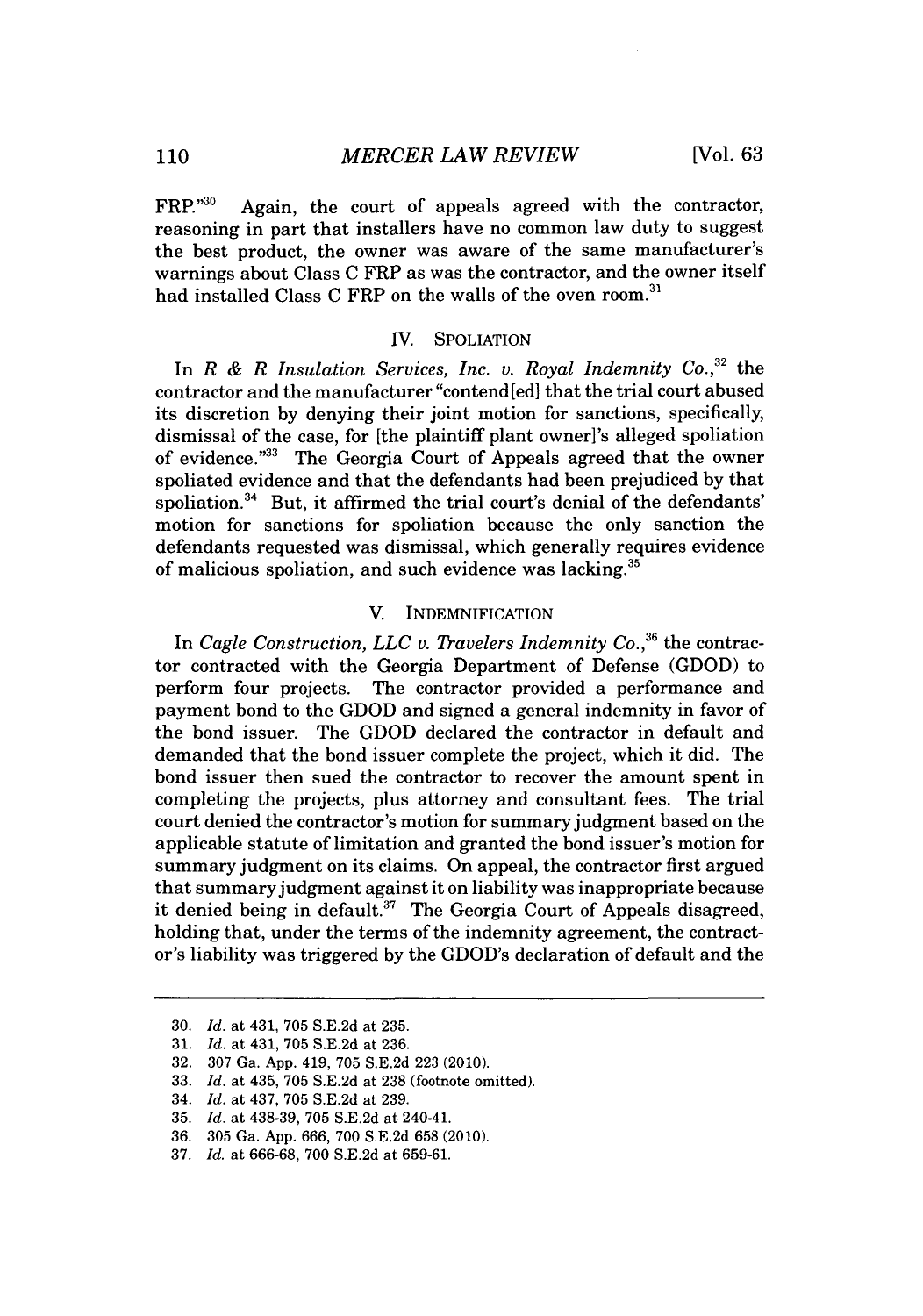FRP."<sup>30</sup> Again, the court of appeals agreed with the contractor, reasoning in part that installers have no common law duty to suggest the best product, the owner was aware of the same manufacturer's warnings about Class **C** FRP as was the contractor, and the owner itself had installed Class **C** FRP on the walls of the oven room.31

#### IV. **SPOLIATION**

In *R & R Insulation Services, Inc. v. Royal Indemnity Co.,32* the contractor and the manufacturer "contend [ed] that the trial court abused its discretion **by** denying their joint motion for sanctions, specifically, dismissal of the case, for [the plaintiff plant owner]'s alleged spoliation of evidence."<sup>33</sup> The Georgia Court of Appeals agreed that the owner spoliated evidence and that the defendants had been prejudiced **by** that spoliation. $34$  But, it affirmed the trial court's denial of the defendants' motion for sanctions for spoliation because the only sanction the defendants requested was dismissal, which generally requires evidence of malicious spoliation, and such evidence was lacking.<sup>35</sup>

## V. INDEMNIFICATION

*In Cagle Construction, LLC v. Travelers Indemnity Co.,36* the contractor contracted with the Georgia Department of Defense **(GDOD)** to perform four projects. The contractor provided a performance and payment bond to the **GDOD** and signed a general indemnity in favor of the bond issuer. The **GDOD** declared the contractor in default and demanded that the bond issuer complete the project, which it did. The bond issuer then sued the contractor to recover the amount spent in completing the projects, plus attorney and consultant fees. The trial court denied the contractor's motion for summary judgment based on the applicable statute of limitation and granted the bond issuer's motion for summary judgment on its claims. On appeal, the contractor first argued that summary judgment against it on liability was inappropriate because it denied being in default.<sup>37</sup> The Georgia Court of Appeals disagreed, holding that, under the terms of the indemnity agreement, the contractor's liability was triggered **by** the GDOD's declaration of default and the

**<sup>30.</sup>** *Id.* at 431, **705 S.E.2d** at **235.**

**<sup>31.</sup>** *Id.* at 431, **705 S.E.2d** at **236.**

**<sup>32. 307</sup>** *Ga.* **App.** 419, **705 S.E.2d 223** (2010).

**<sup>33.</sup>** *Id. at* 435, **705 S.E.2d** at **238** (footnote omitted).

<sup>34.</sup> *Id.* at 437, **705 S.E.2d** at **239.**

**<sup>35.</sup>** *Id.* at **438-39, 705 S.E.2d** at 240-41.

**<sup>36. 305</sup>** Ga. **App. 666, 700 S.E.2d 658** (2010).

**<sup>37.</sup>** *Id.* at **666-68, 700 S.E.2d** at **659-61.**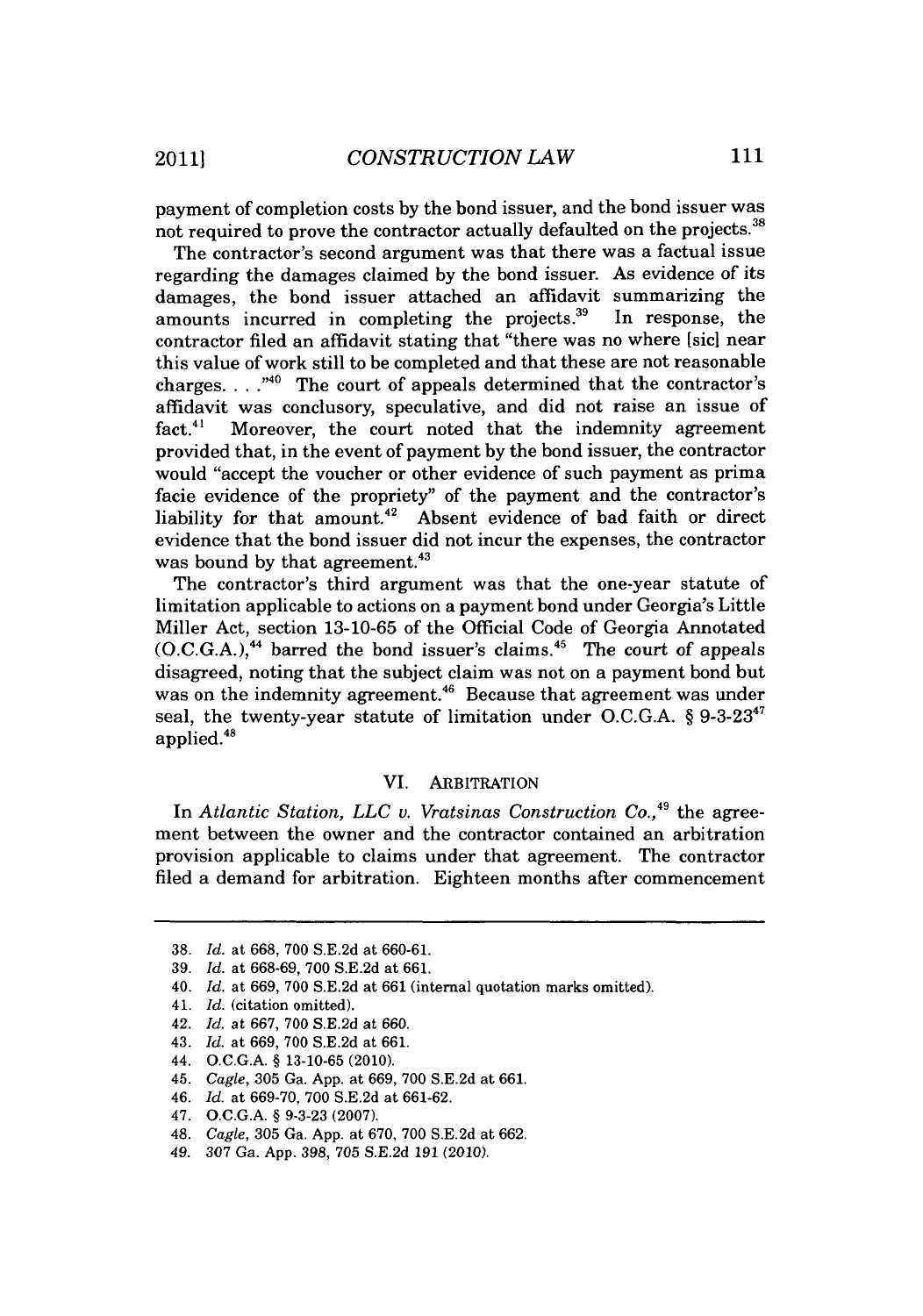payment of completion costs **by** the bond issuer, and the bond issuer was not required to prove the contractor actually defaulted on the projects.<sup>38</sup>

The contractor's second argument was that there was a factual issue regarding the damages claimed **by** the bond issuer. As evidence of its damages, the bond issuer attached an affidavit summarizing the amounts incurred in completing the projects.<sup>39</sup> In response, the amounts incurred in completing the projects.<sup>39</sup> contractor filed an affidavit stating that "there was no where [sic] near this value of work still to be completed and that these are not reasonable charges. . . .<sup>"40</sup> The court of appeals determined that the contractor's affidavit was conclusory, speculative, and did not raise an issue of fact.<sup>41</sup> Moreover, the court noted that the indemnity agreement provided that, in the event of payment **by** the bond issuer, the contractor would "accept the voucher or other evidence of such payment as prima facie evidence of the propriety" of the payment and the contractor's liability for that amount.<sup>42</sup> Absent evidence of bad faith or direct evidence that the bond issuer did not incur the expenses, the contractor was bound by that agreement.<sup>43</sup>

The contractor's third argument was that the one-year statute of limitation applicable to actions on a payment bond under Georgia's Little Miller Act, section **13-10-65** of the Official Code of Georgia Annotated **(O.C.G.A.), <sup>44</sup>**barred the bond issuer's claims.45 The court of appeals disagreed, noting that the subject claim was not on a payment bond but was on the indemnity agreement.<sup>46</sup> Because that agreement was under seal, the twenty-year statute of limitation under **O.C.G.A.** *§* **9-3-23** <sup>4</sup> applied.48

## VI. ARBITRATION

In *Atlantic Station, LLC v. Vratsinas Construction Co.,49* the agreement between the owner and the contractor contained an arbitration provision applicable to claims under that agreement. The contractor filed a demand for arbitration. Eighteen months after commencement

- *46. Id.* at **669-70, 700 S.E.2d** at **661-62.**
- *47.* **O.C.G.A. § 9-3-23 (2007).**
- 48. *Cagle,* **305** Ga. **App.** at **670, 700 S.E.2d** at **662.**
- 49. **307** Ga. **App. 398, 705 S.E.2d 191** (2010).

**<sup>38.</sup>** *Id.* at **668, 700 S.E.2d** at **660-61.**

**<sup>39.</sup>** *Id.* at **668-69, 700 S.E.2d** at **661.**

<sup>40.</sup> *Id.* at **669, 700 S.E.2d** at **661** (internal quotation marks omitted).

<sup>41.</sup> *Id.* (citation omitted).

<sup>42.</sup> *Id.* at **667, 700 S.E.2d** at **660.**

<sup>43.</sup> *Id.* at **669, 700 S.E.2d** at **661.**

<sup>44.</sup> **O.C.G.A. § 13-10-65** (2010).

<sup>45.</sup> *Cagle,* **305** Ga. **App.** at **669, 700 S.E.2d** at **661.**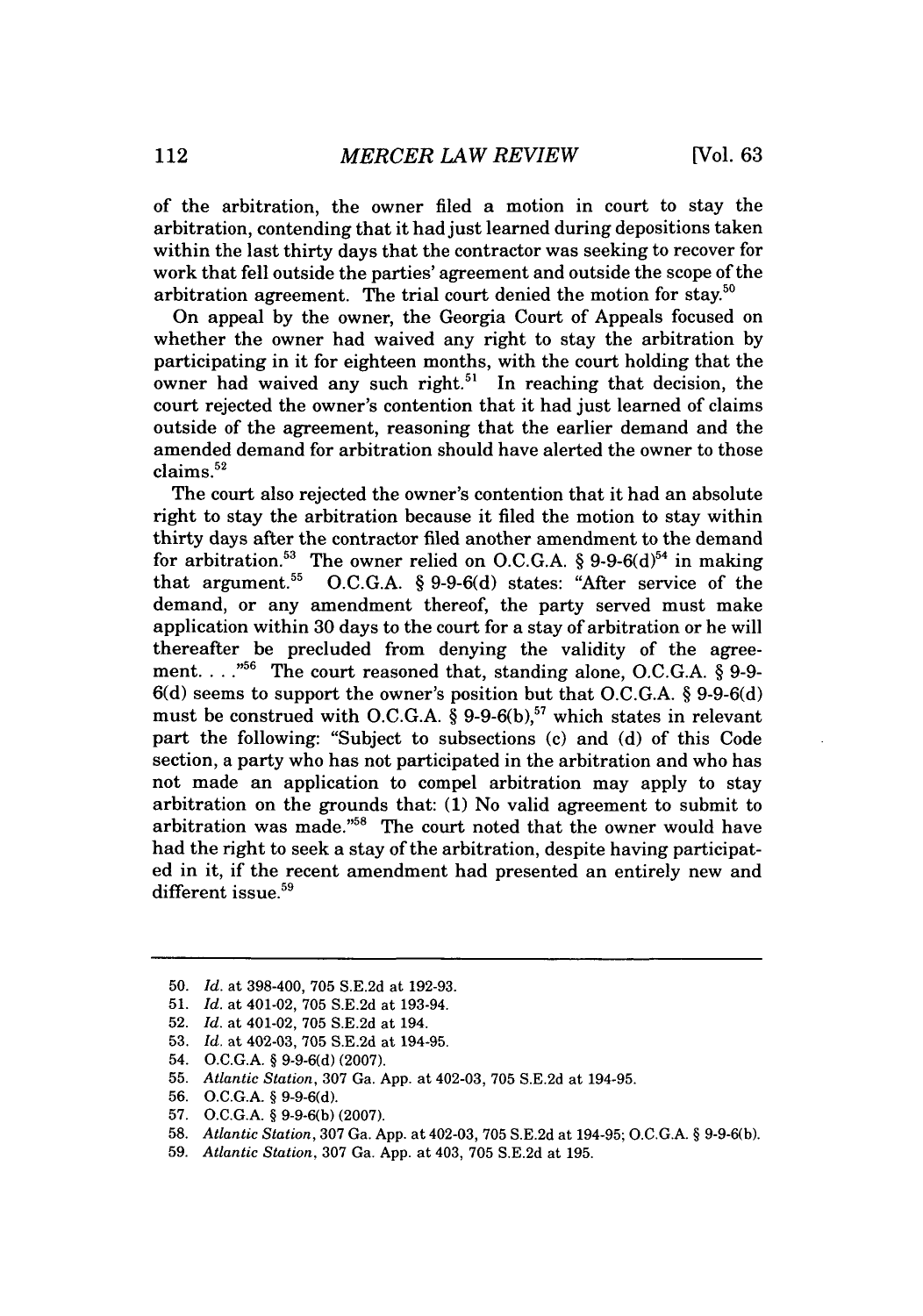of the arbitration, the owner filed a motion in court to stay the arbitration, contending that it had just learned during depositions taken within the last thirty days that the contractor was seeking to recover for work that fell outside the parties' agreement and outside the scope of the arbitration agreement. The trial court denied the motion for stay.<sup>50</sup>

On appeal **by** the owner, the Georgia Court of Appeals focused on whether the owner had waived any right to stay the arbitration **by** participating in it for eighteen months, with the court holding that the owner had waived any such right.<sup>51</sup> In reaching that decision, the court rejected the owner's contention that it had just learned of claims outside of the agreement, reasoning that the earlier demand and the amended demand for arbitration should have alerted the owner to those claims.<sup>52</sup>

The court also rejected the owner's contention that it had an absolute right to stay the arbitration because it filed the motion to stay within thirty days after the contractor filed another amendment to the demand for arbitration.<sup>53</sup> The owner relied on O.C.G.A. § 9-9-6(d)<sup>54</sup> in making that argument.<sup>55</sup> O.C.G.A. § 9-9-6(d) states: "After service of the O.C.G.A. § 9-9-6(d) states: "After service of the demand, or any amendment thereof, the party served must make application within **30** days to the court for a stay of arbitration or he will thereafter be precluded from denying the validity of the agreement. **. . .""** The court reasoned that, standing alone, **O.C.G.A. § 9-9- 6(d)** seems to support the owner's position but that **O.C.G.A. § 9-9-6(d)** must be construed with **O.C.G.A. § 9-9-6(b),"** which states in relevant part the following: "Subject to subsections (c) and **(d)** of this Code section, a party who has not participated in the arbitration and who has not made an application to compel arbitration may apply to stay arbitration on the grounds that: **(1)** No valid agreement to submit to arbitration was made." $58$  The court noted that the owner would have had the right to seek a stay of the arbitration, despite having participated in it, if the recent amendment had presented an entirely new and different issue.<sup>59</sup>

- **53.** *Id. at* 402-03, **705 S.E.2d** at 194-95.
- 54. **O.C.G.A. § 9-9-6(d) (2007).**

- **56. O.C.G.A. § 9-9-6(d).**
- **57. O.C.G.A. § 9-9-6(b) (2007).**
- **58.** *Atlantic Station,* **307** Ga. **App.** at 402-03, **705 S.E.2d** at 194-95; **O.C.G.A. § 9-9-6(b).**
- **59.** *Atlantic Station,* **307** Ga. **App.** at 403, **705 S.E.2d** at **195.**

**<sup>50.</sup>** *Id. at* **398-400, 705 S.E.2d** at **192-93.**

**<sup>51.</sup>** *Id. at* 401-02, **705 S.E.2d** at 193-94.

**<sup>52.</sup>** *Id. at* 401-02, **705 S.E.2d** at 194.

**<sup>55.</sup>** *Atlantic Station,* **307** Ga. **App.** at 402-03, **705 S.E.2d** at 194-95.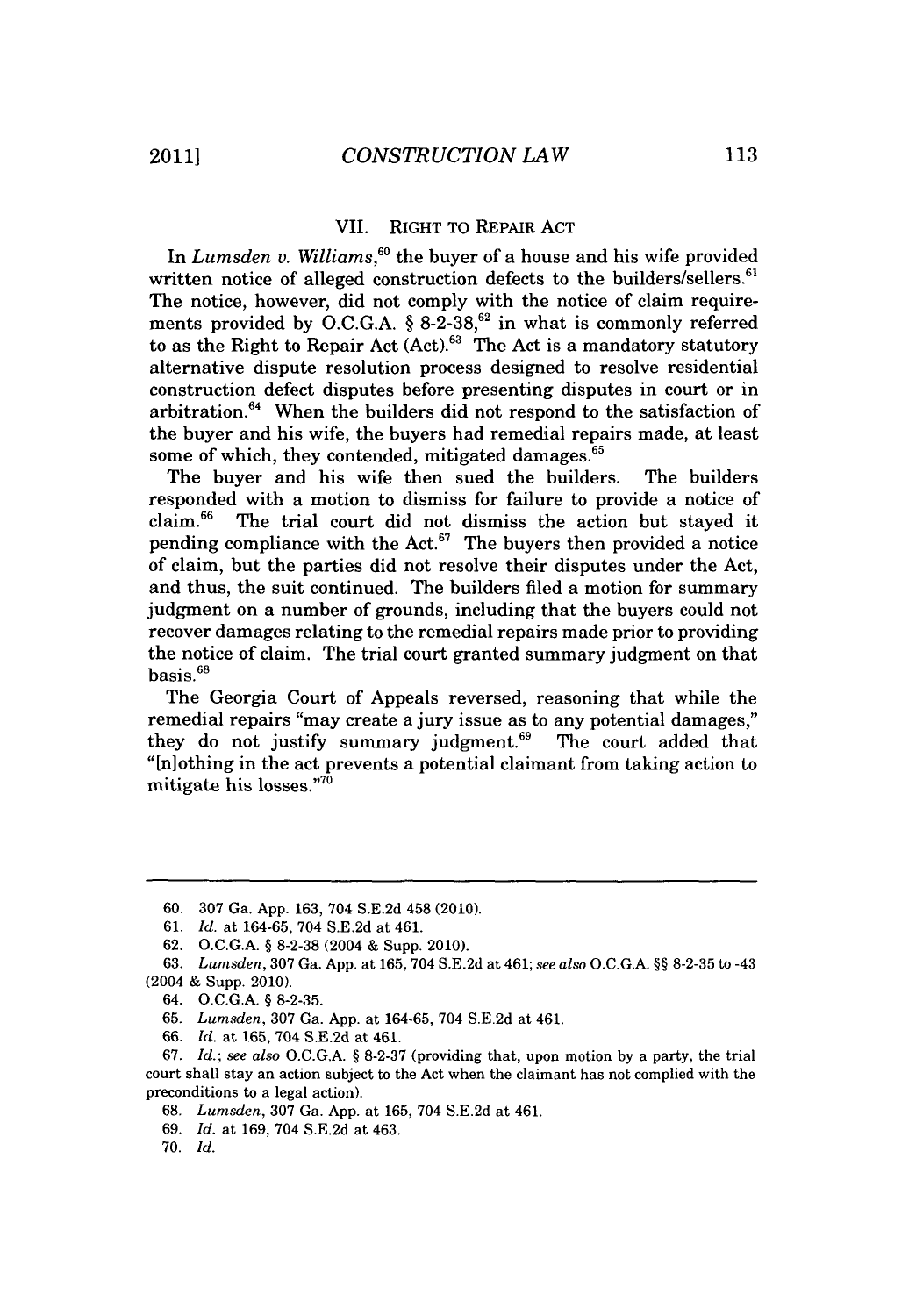#### VII. RIGHT TO REPAIR **ACT**

In *Lumsden v. Williams,"o* the buyer of a house and his wife provided written notice of alleged construction defects to the builders/sellers.<sup>61</sup> The notice, however, did not comply with the notice of claim requirements provided by O.C.G.A. § 8-2-38,<sup>62</sup> in what is commonly referred to as the Right to Repair Act  $(Act)$ .<sup>63</sup> The Act is a mandatory statutory alternative dispute resolution process designed to resolve residential construction defect disputes before presenting disputes in court or in arbitration.<sup>64</sup> When the builders did not respond to the satisfaction of the buyer and his wife, the buyers had remedial repairs made, at least some of which, they contended, mitigated damages.<sup>65</sup>

The buyer and his wife then sued the builders. The builders responded with a motion to dismiss for failure to provide a notice of claim.66 The trial court did not dismiss the action but stayed it pending compliance with the Act. $67$  The buyers then provided a notice of claim, but the parties did not resolve their disputes under the Act, and thus, the suit continued. The builders filed a motion for summary judgment on a number of grounds, including that the buyers could not recover damages relating to the remedial repairs made prior to providing the notice of claim. The trial court granted summary judgment on that basis.<sup>68</sup>

The Georgia Court of Appeals reversed, reasoning that while the remedial repairs "may create a jury issue as to any potential damages," they do not justify summary judgment. $69$  The court added that "[n]othing in the act prevents a potential claimant from taking action to mitigate his losses."70

**<sup>60. 307</sup>** Ga. **App. 163,** 704 **S.E.2d** 458 (2010).

**<sup>61.</sup>** *Id.* at **164-65,** 704 **S.E.2d** at 461.

**<sup>62.</sup> O.C.G.A. § 8-2-38** (2004 **&** Supp. 2010).

**<sup>63.</sup>** *Lumsden,* **307** Ga. **App.** at **165, 704 S.E.2d** at 461; *see also* **O.C.G.A. §§ 8-2-35** to -43 (2004 **&** Supp. 2010).

<sup>64.</sup> **O.C.G.A. § 8-2-35.**

**<sup>65.</sup>** *Lumsden,* **307** Ga. **App.** at **164-65,** 704 **S.E.2d** at 461.

**<sup>66.</sup>** *Id.* at **165,** 704 **S.E.2d** at 461.

**<sup>67.</sup>** *Id.; see also* **O.C.GA. § 8-2-37** (providing that, upon motion **by** a party, the trial court shall stay an action subject to the Act when the claimant has not complied with the preconditions to a legal action).

**<sup>68.</sup>** *Lumsden,* **307** Ga. **App.** at **165,** 704 **S.E.2d** at 461.

**<sup>69.</sup>** *Id.* at **169,** 704 **S.E.2d** at 463.

**<sup>70.</sup>** *Id.*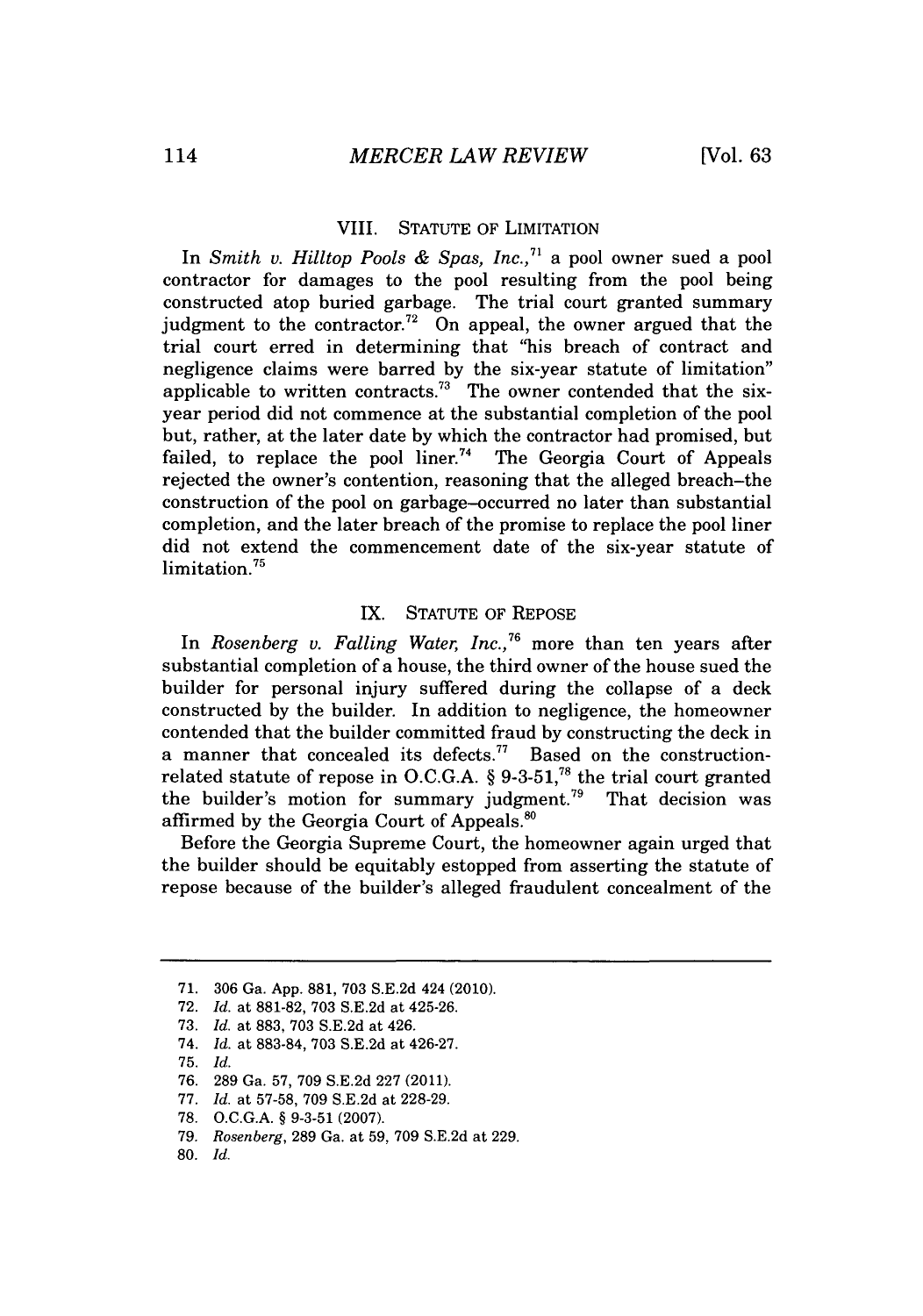#### VIII. **STATUTE** OF LIMITATION

In *Smith v. Hilltop Pools & Spas, Inc.,"* a pool owner sued a pool contractor for damages to the pool resulting from the pool being constructed atop buried garbage. The trial court granted summary judgment to the contractor.<sup>72</sup> On appeal, the owner argued that the trial court erred in determining that "his breach of contract and negligence claims were barred **by** the six-year statute of limitation" applicable to written contracts.<sup>73</sup> The owner contended that the sixyear period did not commence at the substantial completion of the pool but, rather, at the later date **by** which the contractor had promised, but failed, to replace the pool liner.<sup>74</sup> The Georgia Court of Appeals rejected the owner's contention, reasoning that the alleged breach-the construction of the pool on garbage-occurred no later than substantial completion, and the later breach of the promise to replace the pool liner did not extend the commencement date of the six-year statute of limitation.<sup>75</sup>

#### IX. **STATUTE** OF REPOSE

In Rosenberg v. Falling Water, Inc.,<sup>76</sup> more than ten years after substantial completion of a house, the third owner of the house sued the builder for personal injury suffered during the collapse of a deck constructed **by** the builder. In addition to negligence, the homeowner contended that the builder committed fraud **by** constructing the deck in a manner that concealed its defects.<sup>77</sup> Based on the constructionrelated statute of repose in O.C.G.A. § 9-3-51,<sup>78</sup> the trial court granted the builder's motion for summary judgment.<sup>79</sup> That decision was the builder's motion for summary judgment.<sup>79</sup> affirmed **by** the Georgia Court of Appeals."o

Before the Georgia Supreme Court, the homeowner again urged that the builder should be equitably estopped from asserting the statute of repose because of the builder's alleged fraudulent concealment of the

**<sup>71. 306</sup>** Ga. **App. 881, 703 S.E.2d** 424 (2010).

**<sup>72.</sup>** *Id. at* **881-82, 703 S.E.2d** at 425-26.

**<sup>73.</sup>** *Id. at* **883, 703 S.E.2d** at 426.

<sup>74.</sup> *Id. at* **883-84, 703 S.E.2d** at 426-27.

**<sup>75.</sup>** *Id.*

**<sup>76. 289</sup>** Ga. **57, 709 S.E.2d 227** (2011).

**<sup>77.</sup>** *Id. at* **57-58, 709 S.E.2d** at **228-29.**

**<sup>78.</sup> O.C.G.A. § 9-3-51 (2007).**

*<sup>79.</sup> Rosenberg,* **289** Ga. at **59, 709 S.E.2d** at **229.**

**<sup>80.</sup>** *Id.*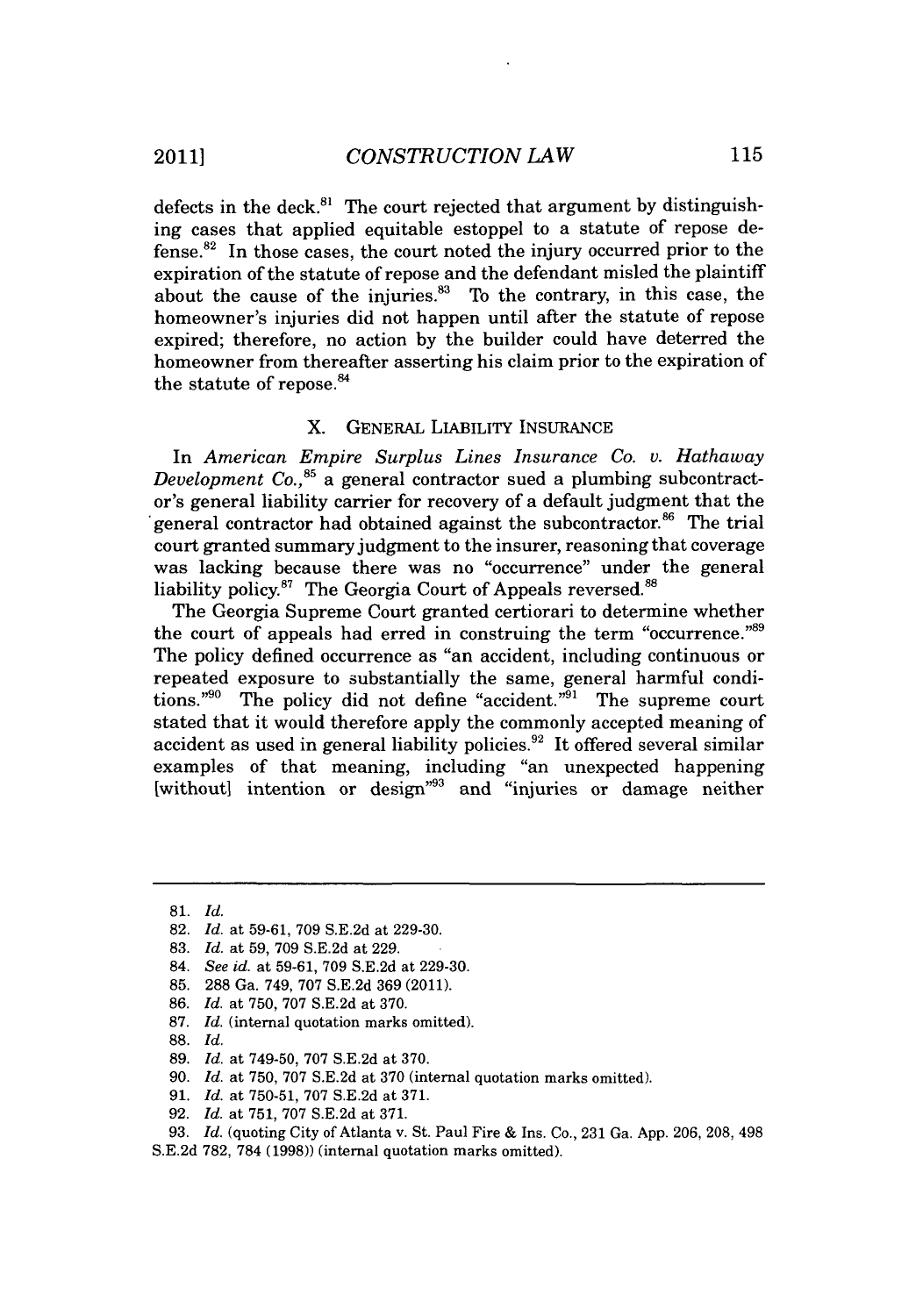defects in the deck."' The court rejected that argument **by** distinguishing cases that applied equitable estoppel to a statute of repose de $fense.<sup>82</sup>$  In those cases, the court noted the injury occurred prior to the expiration of the statute of repose and the defendant misled the plaintiff about the cause of the injuries.<sup>83</sup> To the contrary, in this case, the homeowner's injuries did not happen until after the statute of repose expired; therefore, no action **by** the builder could have deterred the homeowner from thereafter asserting his claim prior to the expiration of the statute of repose.<sup>84</sup>

## X. **GENERAL** LIABILITY **INSURANCE**

In *American Empire Surplus Lines Insurance Co. v. Hathaway Development Co.*,<sup>85</sup> a general contractor sued a plumbing subcontractor's general liability carrier for recovery of a default judgment that the general contractor had obtained against the subcontractor.<sup>86</sup> The trial court granted summary judgment to the insurer, reasoning that coverage was lacking because there was no "occurrence" under the general liability policy.<sup>87</sup> The Georgia Court of Appeals reversed.<sup>88</sup>

The Georgia Supreme Court granted certiorari to determine whether the court of appeals had erred in construing the term "occurrence."<sup>89</sup> The policy defined occurrence as "an accident, including continuous or repeated exposure to substantially the same, general harmful conditions."<sup>90</sup> The policy did not define "accident."<sup>91</sup> The supreme court stated that it would therefore apply the commonly accepted meaning of accident as used in general liability policies.<sup>92</sup> It offered several similar examples of that meaning, including "an unexpected happening [without] intention or design<sup>"93</sup> and "injuries or damage neither

- **86.** *Id. at* **750, 707 S.E.2d** at **370.**
- **87.** *Id.* (internal quotation marks omitted).
- **88.** *Id.*

**<sup>81.</sup>** *Id.*

**<sup>82.</sup>** *Id. at* **59-61, 709 S.E.2d** at **229-30.**

**<sup>83.</sup>** *Id. at* **59, 709 S.E.2d** at **229.**

<sup>84.</sup> *See id. at* **59-61, 709 S.E.2d** at **229-30.**

**<sup>85. 288</sup>** *Ga.* 749, **707 S.E.2d 369** (2011).

**<sup>89.</sup>** *Id.* at **749-50, 707 S.E.2d** at **370.**

**<sup>90.</sup>** *Id.* at **750, 707 S.E.2d** at **370** (internal quotation marks omitted).

**<sup>91.</sup>** *Id.* at **750-51, 707 S.E.2d** at **371.**

**<sup>92.</sup>** *Id.* at **751, 707 S.E.2d** at **371.**

**<sup>93.</sup>** *Id.* (quoting City of Atlanta v. St. Paul Fire **&** Ins. Co., **231** Ga. **App. 206, 208,** 498

**S.E.2d 782, 784 (1998))** (internal quotation marks omitted).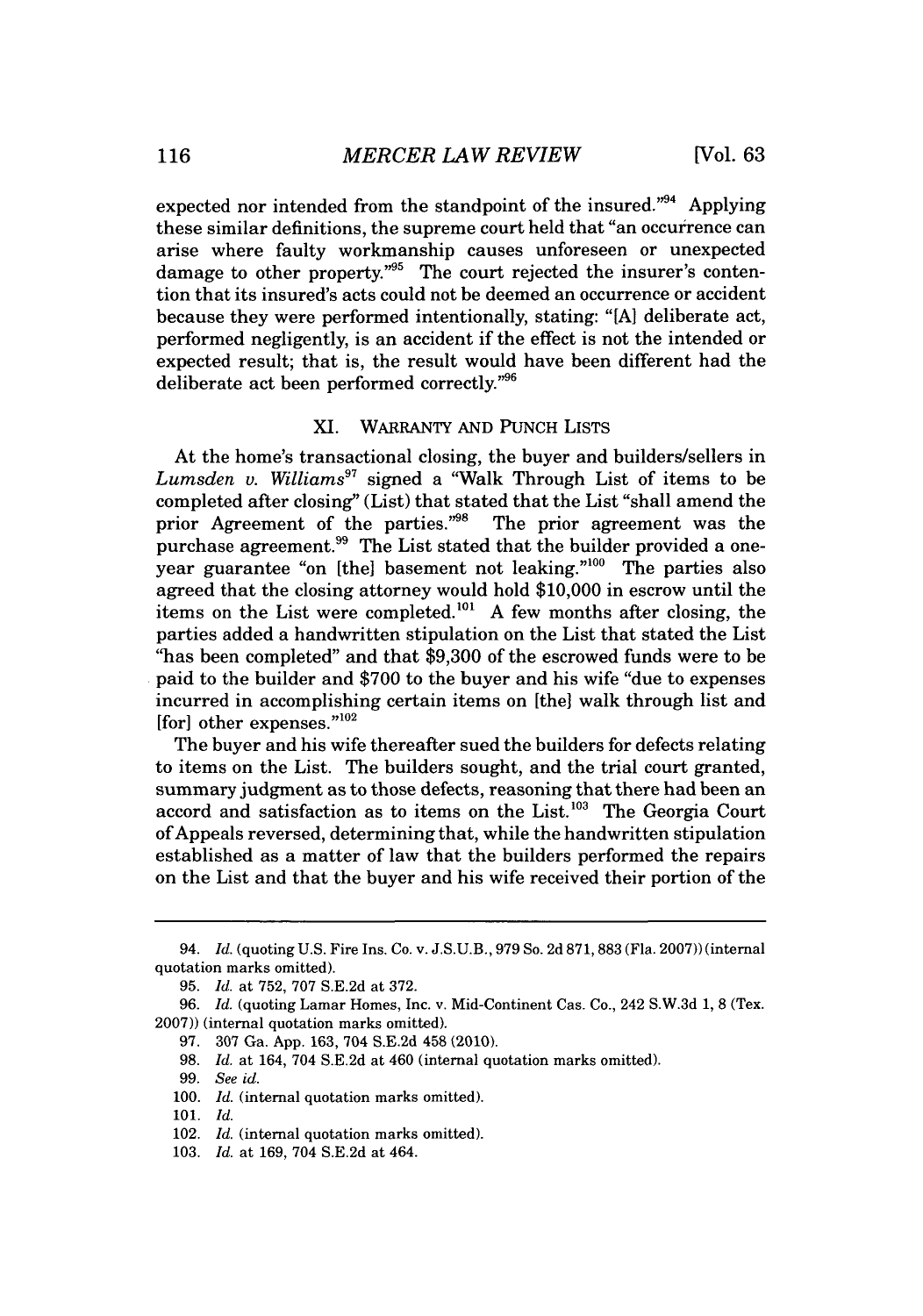expected nor intended from the standpoint of the insured. $^{394}$  Applying these similar definitions, the supreme court held that "an occurrence can arise where faulty workmanship causes unforeseen or unexpected damage to other property. $m_{0.5}$  The court rejected the insurer's contention that its insured's acts could not be deemed an occurrence or accident because they were performed intentionally, stating: "[A] deliberate act, performed negligently, is an accident if the effect is not the intended or expected result; that is, the result would have been different had the deliberate act been performed correctly."<sup>96</sup>

## XI. WARRANTY **AND PUNCH** LISTS

At the home's transactional closing, the buyer and builders/sellers in *Lumsden v. Williams"* signed a "Walk Through List of items to be completed after closing" (List) that stated that the List "shall amend the prior Agreement of the parties."<sup>98</sup> The prior agreement was the purchase agreement.<sup>99</sup> The List stated that the builder provided a oneyear guarantee "on [the] basement not leaking."<sup>100</sup> The parties also agreed that the closing attorney would hold **\$10,000** in escrow until the items on the List were completed.'01 **A** few months after closing, the parties added a handwritten stipulation on the List that stated the List "has been completed" and that **\$9,300** of the escrowed funds were to be paid to the builder and **\$700** to the buyer and his wife "due to expenses incurred in accomplishing certain items on [the] walk through list and [for] other expenses. $"102"$ 

The buyer and his wife thereafter sued the builders for defects relating to items on the List. The builders sought, and the trial court granted, summary judgment as to those defects, reasoning that there had been an accord and satisfaction as to items on the List.<sup>103</sup> The Georgia Court of Appeals reversed, determining that, while the handwritten stipulation established as a matter of law that the builders performed the repairs on the List and that the buyer and his wife received their portion of the

*<sup>94.</sup> Id.* (quoting **U.S.** Fire Ins. Co. v. **J.S.U.B.,** *979* So. **2d 871,883** (Fla. **2007))** (internal quotation marks omitted).

**<sup>95.</sup>** *Id.* at **752, 707 S.E.2d** at **372.**

*<sup>96.</sup> Id.* (quoting Lamar Homes, Inc. v. Mid-Continent Cas. Co., 242 **S.W.3d 1, 8** (Tex. **2007))** (internal quotation marks omitted).

*<sup>97.</sup>* **307** Ga. **App. 163,** 704 **S.E.2d** 458 (2010).

**<sup>98.</sup>** *Id.* at 164, 704 **S.E.2d** at 460 (internal quotation marks omitted).

*<sup>99.</sup> See id.*

**<sup>100.</sup>** *Id.* (internal quotation marks omitted).

**<sup>101.</sup>** *Id.*

<sup>102.</sup> *Id.* (internal quotation marks omitted).

**<sup>103.</sup>** *Id.* at **169,** 704 **S.E.2d** at 464.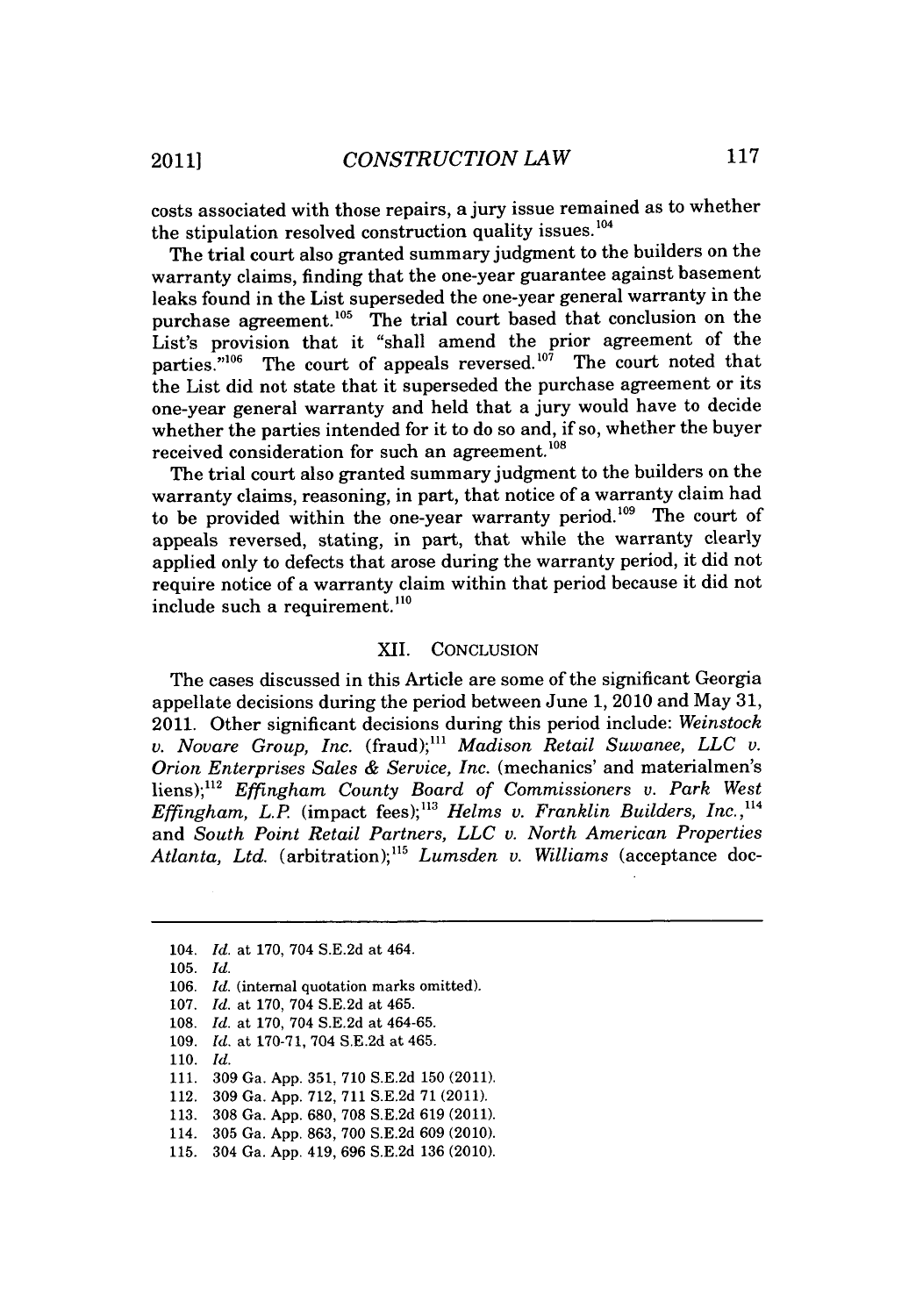costs associated with those repairs, a jury issue remained as to whether the stipulation resolved construction quality issues.<sup>104</sup>

The trial court also granted summary judgment to the builders on the warranty claims, finding that the one-year guarantee against basement leaks found in the List superseded the one-year general warranty in the purchase agreement.<sup>105</sup> The trial court based that conclusion on the List's provision that it "shall amend the prior agreement of the parties."<sup>106</sup> The court of appeals reversed.<sup>107</sup> The court noted that the List did not state that it superseded the purchase agreement or its one-year general warranty and held that a jury would have to decide whether the parties intended for it to do so and, if so, whether the buyer received consideration for such an agreement.<sup>108</sup>

The trial court also granted summary judgment to the builders on the warranty claims, reasoning, in part, that notice of a warranty claim had to be provided within the one-year warranty period.'09 The court of appeals reversed, stating, in part, that while the warranty clearly applied only to defects that arose during the warranty period, it did not require notice of a warranty claim within that period because it did not include such a requirement.<sup>110</sup>

#### XII. **CONCLUSION**

The cases discussed in this Article are some of the significant Georgia appellate decisions during the period between June **1,** 2010 and May **31,** 2011. Other significant decisions during this period include: *Weinstock v. Novare Group, Inc.* (fraud);" *Madison Retail Suwanee, LLC v. Orion Enterprises Sales & Service, Inc.* (mechanics' and materialmen's liens);112 *Effingham County Board of Commissioners v. Park West Effingham, L.P.* (impact fees);<sup>113</sup> *Helms v. Franklin Builders, Inc.*,<sup>114</sup> and *South Point Retail Partners, LLC v. North American Properties Atlanta, Ltd.* (arbitration);"' *Lumsden v. Williams* (acceptance doc-

- **109.** *Id.* at **170-71,** 704 **S.E.2d** at 465.
- **110.** *Id.*
- **111. 309** Ga. **App. 351, 710 S.E.2d 150** (2011).
- 112. **309** Ga. **App. 712, 711 S.E.2d 71 (2011).**
- **113. 308** Ga. **App. 680, 708 S.E.2d 619** (2011).
- 114. **305** Ga. **App. 863, 700 S.E.2d 609** (2010).
- **115.** 304 Ga. **App.** 419, **696 S.E.2d 136** (2010).

<sup>104.</sup> *Id.* at **170,** 704 **S.E.2d** at 464.

**<sup>105.</sup>** *Id.*

**<sup>106.</sup>** *Id.* (internal quotation marks omitted).

**<sup>107.</sup>** *Id.* at **170,** 704 **S.E.2d** at 465.

**<sup>108.</sup>** *Id.* at **170,** 704 **S.E.2d** at 464-65.